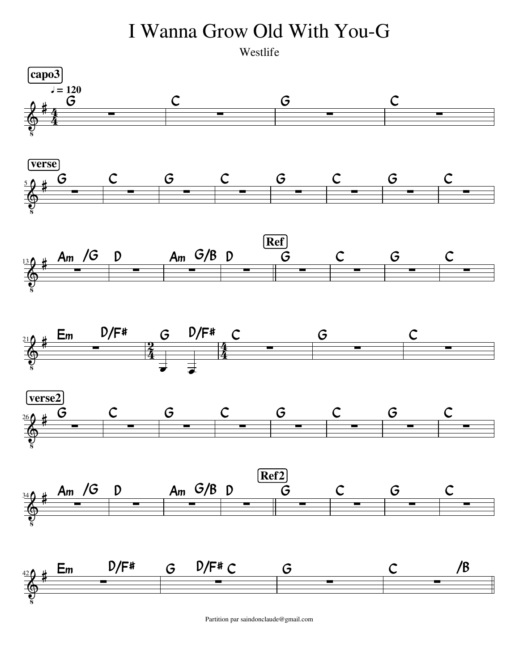

Partition par saindonclaude@gmail.com